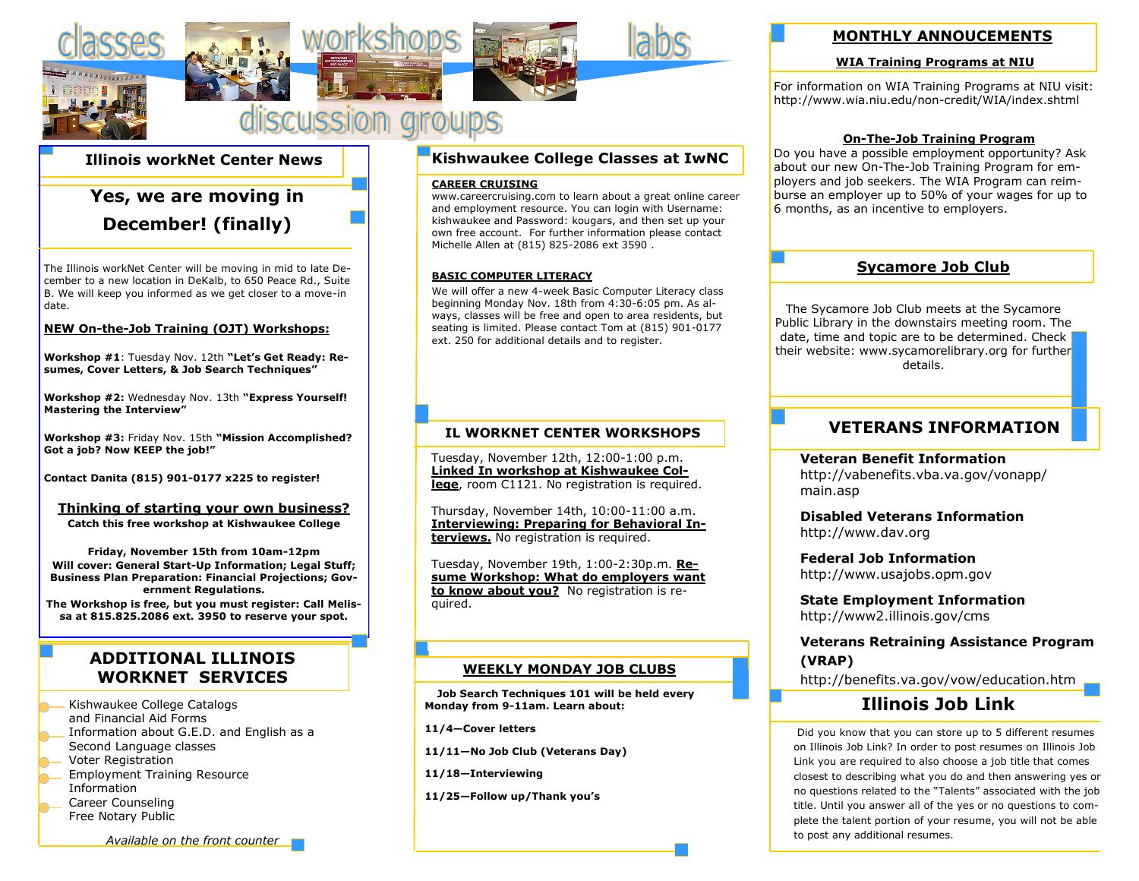

### **Illinois workNet Center News**

# **Yes, we are moving in December! (finally)**

The Illinois workNet Center will be moving in mid to late December to a new location in DeKalb, to 650 Peace Rd., Suite B. We will keep you informed as we get closer to a move-in date.

#### **NEW On-the-Job Training (OJT) Workshops:**

**Workshop #1**: Tuesday Nov. 12th **"Let's Get Ready: Resumes, Cover Letters, & Job Search Techniques"**

**Workshop #2:** Wednesday Nov. 13th **"Express Yourself! Mastering the Interview"**

**Workshop #3:** Friday Nov. 15th **"Mission Accomplished? Got a job? Now KEEP the job!"**

**Contact Danita (815) 901-0177 x225 to register!**

#### **Thinking of starting your own business?**

**Catch this free workshop at Kishwaukee College**

**Friday, November 15th from 10am-12pm Will cover: General Start-Up Information; Legal Stuff; Business Plan Preparation: Financial Projections; Government Regulations.**

**The Workshop is free, but you must register: Call Melissa at 815.825.2086 ext. 3950 to reserve your spot.**

## **ADDITIONAL ILLINOIS WORKNET SERVICES**

Kishwaukee College Catalogs and Financial Aid Forms Information about G.E.D. and English as a Second Language classes Voter Registration Employment Training Resource Information

Career Counseling Free Notary Public

*Available on the front counter*

### **Kishwaukee College Classes at IwNC**

#### **CAREER CRUISING**

www.careercruising.com to learn about a great online career and employment resource. You can login with Username: kishwaukee and Password: kougars, and then set up your own free account. For further information please contact Michelle Allen at (815) 825-2086 ext 3590 .

#### **BASIC COMPUTER LITERACY**

We will offer a new 4-week Basic Computer Literacy class beginning Monday Nov. 18th from 4:30-6:05 pm. As always, classes will be free and open to area residents, but seating is limited. Please contact Tom at (815) 901-0177 ext. 250 for additional details and to register.

### **IL WORKNET CENTER WORKSHOPS**

Tuesday, November 12th, 12:00-1:00 p.m. **Linked In workshop at Kishwaukee College**, room C1121. No registration is required.

Thursday, November 14th, 10:00-11:00 a.m. **Interviewing: Preparing for Behavioral Interviews.** No registration is required.

Tuesday, November 19th, 1:00-2:30p.m. **Resume Workshop: What do employers want to know about you?** No registration is required.

#### **WEEKLY MONDAY JOB CLUBS**

 **Job Search Techniques 101 will be held every Monday from 9-11am. Learn about:** 

**11/4—Cover letters**

**11/11—No Job Club (Veterans Day)**

**11/18—Interviewing**

**11/25—Follow up/Thank you's**

### **MONTHLY ANNOUCEMENTS**

#### **WIA Training Programs at NIU**

For information on WIA Training Programs at NIU visit: http://www.wia.niu.edu/non-credit/WIA/index.shtml

#### **On-The-Job Training Program**

Do you have a possible employment opportunity? Ask about our new On-The-Job Training Program for employers and job seekers. The WIA Program can reimburse an employer up to 50% of your wages for up to 6 months, as an incentive to employers.

### **Sycamore Job Club**

The Sycamore Job Club meets at the Sycamore Public Library in the downstairs meeting room. The date, time and topic are to be determined. Check their website: www.sycamorelibrary.org for further details.

### **VETERANS INFORMATION**

**Veteran Benefit Information** http://vabenefits.vba.va.gov/vonapp/ main.asp

**Disabled Veterans Information** http://www.dav.org

**Federal Job Information** http://www.usajobs.opm.gov

**State Employment Information** http://www2.illinois.gov/cms

### **Veterans Retraining Assistance Program (VRAP)**

http://benefits.va.gov/vow/education.htm

# **Illinois Job Link**

Did you know that you can store up to 5 different resumes on Illinois Job Link? In order to post resumes on Illinois Job Link you are required to also choose a job title that comes closest to describing what you do and then answering yes or no questions related to the "Talents" associated with the job title. Until you answer all of the yes or no questions to complete the talent portion of your resume, you will not be able to post any additional resumes.